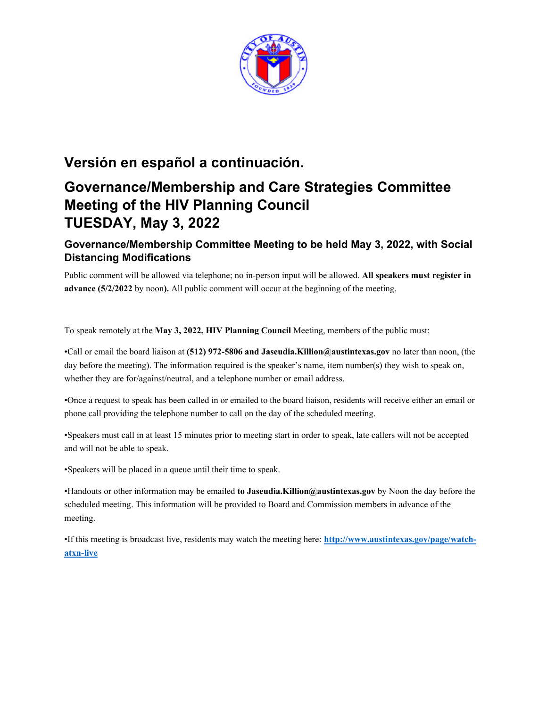

## **Versión en español a continuación.**

# **Governance/Membership and Care Strategies Committee Meeting of the HIV Planning Council TUESDAY, May 3, 2022**

### **Governance/Membership Committee Meeting to be held May 3, 2022, with Social Distancing Modifications**

Public comment will be allowed via telephone; no in-person input will be allowed. **All speakers must register in advance (5/2/2022** by noon**).** All public comment will occur at the beginning of the meeting.

To speak remotely at the **May 3, 2022, HIV Planning Council** Meeting, members of the public must:

•Call or email the board liaison at **(512) 972-5806 and Jaseudia.Killion@austintexas.gov** no later than noon, (the day before the meeting). The information required is the speaker's name, item number(s) they wish to speak on, whether they are for/against/neutral, and a telephone number or email address.

•Once a request to speak has been called in or emailed to the board liaison, residents will receive either an email or phone call providing the telephone number to call on the day of the scheduled meeting.

•Speakers must call in at least 15 minutes prior to meeting start in order to speak, late callers will not be accepted and will not be able to speak.

•Speakers will be placed in a queue until their time to speak.

•Handouts or other information may be emailed **to Jaseudia.Killion@austintexas.gov** by Noon the day before the scheduled meeting. This information will be provided to Board and Commission members in advance of the meeting.

•If this meeting is broadcast live, residents may watch the meeting here: **http://www.austintexas.gov/page/watchatxn-live**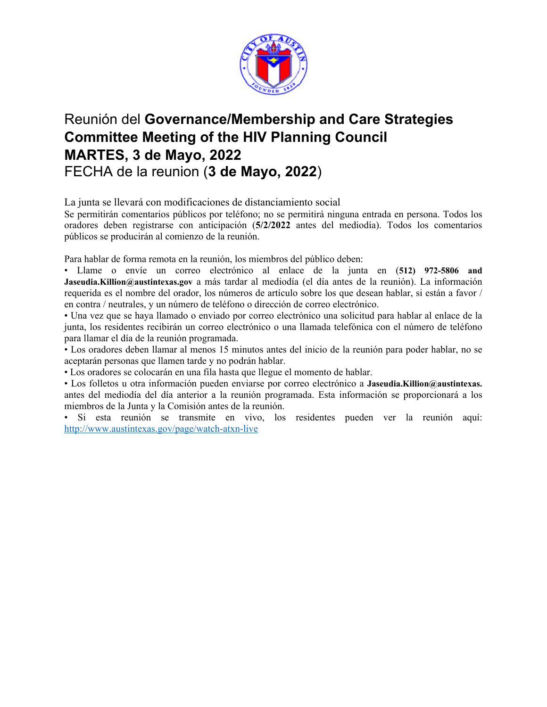

## Reunión del **Governance/Membership and Care Strategies Committee Meeting of the HIV Planning Council MARTES, 3 de Mayo, 2022**  FECHA de la reunion (**3 de Mayo, 2022**)

La junta se llevará con modificaciones de distanciamiento social

Se permitirán comentarios públicos por teléfono; no se permitirá ninguna entrada en persona. Todos los oradores deben registrarse con anticipación (**5/2/2022** antes del mediodía). Todos los comentarios públicos se producirán al comienzo de la reunión.

Para hablar de forma remota en la reunión, los miembros del público deben:

• Llame o envíe un correo electrónico al enlace de la junta en (**512) 972-5806 and Jaseudia.Killion@austintexas.gov** a más tardar al mediodía (el día antes de la reunión). La información requerida es el nombre del orador, los números de artículo sobre los que desean hablar, si están a favor / en contra / neutrales, y un número de teléfono o dirección de correo electrónico.

• Una vez que se haya llamado o enviado por correo electrónico una solicitud para hablar al enlace de la junta, los residentes recibirán un correo electrónico o una llamada telefónica con el número de teléfono para llamar el día de la reunión programada.

• Los oradores deben llamar al menos 15 minutos antes del inicio de la reunión para poder hablar, no se aceptarán personas que llamen tarde y no podrán hablar.

• Los oradores se colocarán en una fila hasta que llegue el momento de hablar.

• Los folletos u otra información pueden enviarse por correo electrónico a **Jaseudia.Killion@austintexas.** antes del mediodía del día anterior a la reunión programada. Esta información se proporcionará a los miembros de la Junta y la Comisión antes de la reunión.

• Si esta reunión se transmite en vivo, los residentes pueden ver la reunión aquí: http://www.austintexas.gov/page/watch-atxn-live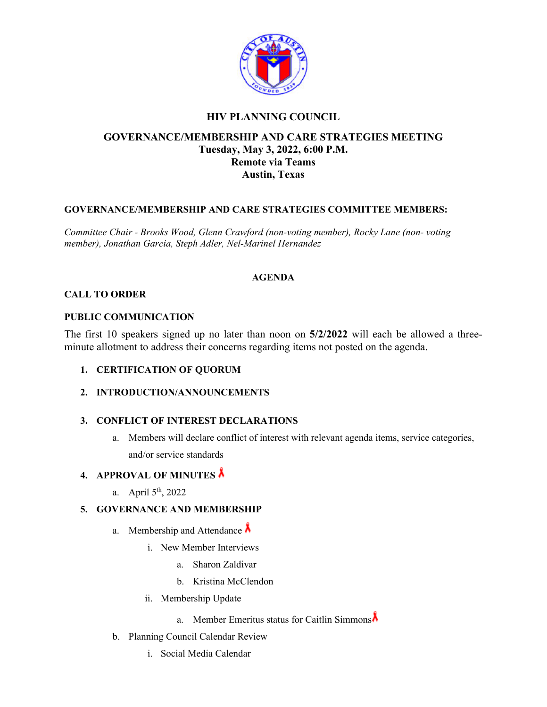

### **HIV PLANNING COUNCIL**

### **GOVERNANCE/MEMBERSHIP AND CARE STRATEGIES MEETING Tuesday, May 3, 2022, 6:00 P.M. Remote via Teams Austin, Texas**

#### **GOVERNANCE/MEMBERSHIP AND CARE STRATEGIES COMMITTEE MEMBERS:**

*Committee Chair - Brooks Wood, Glenn Crawford (non-voting member), Rocky Lane (non- voting member), Jonathan Garcia, Steph Adler, Nel-Marinel Hernandez* 

#### **AGENDA**

#### **CALL TO ORDER**

#### **PUBLIC COMMUNICATION**

The first 10 speakers signed up no later than noon on **5/2/2022** will each be allowed a threeminute allotment to address their concerns regarding items not posted on the agenda.

- **1. CERTIFICATION OF QUORUM**
- **2. INTRODUCTION/ANNOUNCEMENTS**

#### **3. CONFLICT OF INTEREST DECLARATIONS**

a. Members will declare conflict of interest with relevant agenda items, service categories, and/or service standards

#### **4. APPROVAL OF MINUTES**

a. April  $5<sup>th</sup>$ , 2022

#### **5. GOVERNANCE AND MEMBERSHIP**

- a. Membership and Attendance  $\lambda$ 
	- i. New Member Interviews
		- a. Sharon Zaldivar
		- b. Kristina McClendon
	- ii. Membership Update
		- a. Member Emeritus status for Caitlin Simmons
- b. Planning Council Calendar Review
	- i. Social Media Calendar